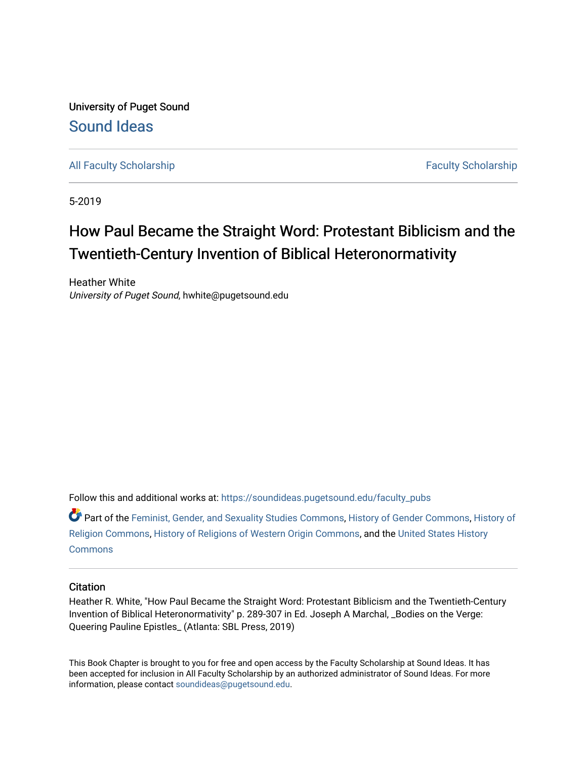University of Puget Sound [Sound Ideas](https://soundideas.pugetsound.edu/) 

[All Faculty Scholarship](https://soundideas.pugetsound.edu/faculty_pubs) **Faculty Scholarship Faculty Scholarship Faculty Scholarship** 

5-2019

# How Paul Became the Straight Word: Protestant Biblicism and the Twentieth-Century Invention of Biblical Heteronormativity

Heather White University of Puget Sound, hwhite@pugetsound.edu

Follow this and additional works at: [https://soundideas.pugetsound.edu/faculty\\_pubs](https://soundideas.pugetsound.edu/faculty_pubs?utm_source=soundideas.pugetsound.edu%2Ffaculty_pubs%2F3381&utm_medium=PDF&utm_campaign=PDFCoverPages) 

Part of the [Feminist, Gender, and Sexuality Studies Commons](http://network.bepress.com/hgg/discipline/559?utm_source=soundideas.pugetsound.edu%2Ffaculty_pubs%2F3381&utm_medium=PDF&utm_campaign=PDFCoverPages), [History of Gender Commons](http://network.bepress.com/hgg/discipline/498?utm_source=soundideas.pugetsound.edu%2Ffaculty_pubs%2F3381&utm_medium=PDF&utm_campaign=PDFCoverPages), [History of](http://network.bepress.com/hgg/discipline/499?utm_source=soundideas.pugetsound.edu%2Ffaculty_pubs%2F3381&utm_medium=PDF&utm_campaign=PDFCoverPages)  [Religion Commons](http://network.bepress.com/hgg/discipline/499?utm_source=soundideas.pugetsound.edu%2Ffaculty_pubs%2F3381&utm_medium=PDF&utm_campaign=PDFCoverPages), [History of Religions of Western Origin Commons](http://network.bepress.com/hgg/discipline/542?utm_source=soundideas.pugetsound.edu%2Ffaculty_pubs%2F3381&utm_medium=PDF&utm_campaign=PDFCoverPages), and the [United States History](http://network.bepress.com/hgg/discipline/495?utm_source=soundideas.pugetsound.edu%2Ffaculty_pubs%2F3381&utm_medium=PDF&utm_campaign=PDFCoverPages) **[Commons](http://network.bepress.com/hgg/discipline/495?utm_source=soundideas.pugetsound.edu%2Ffaculty_pubs%2F3381&utm_medium=PDF&utm_campaign=PDFCoverPages)** 

# **Citation**

Heather R. White, "How Paul Became the Straight Word: Protestant Biblicism and the Twentieth-Century Invention of Biblical Heteronormativity" p. 289-307 in Ed. Joseph A Marchal, \_Bodies on the Verge: Queering Pauline Epistles\_ (Atlanta: SBL Press, 2019)

This Book Chapter is brought to you for free and open access by the Faculty Scholarship at Sound Ideas. It has been accepted for inclusion in All Faculty Scholarship by an authorized administrator of Sound Ideas. For more information, please contact [soundideas@pugetsound.edu.](mailto:soundideas@pugetsound.edu)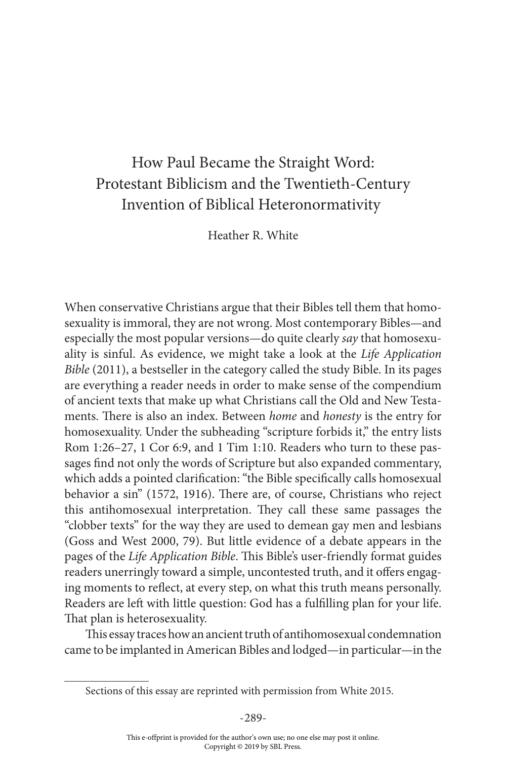# How Paul Became the Straight Word: Protestant Biblicism and the Twentieth-Century Invention of Biblical Heteronormativity

Heather R. White

When conservative Christians argue that their Bibles tell them that homosexuality is immoral, they are not wrong. Most contemporary Bibles—and especially the most popular versions—do quite clearly *say* that homosexuality is sinful. As evidence, we might take a look at the *Life Application Bible* (2011), a bestseller in the category called the study Bible. In its pages are everything a reader needs in order to make sense of the compendium of ancient texts that make up what Christians call the Old and New Testaments. There is also an index. Between *home* and *honesty* is the entry for homosexuality. Under the subheading "scripture forbids it," the entry lists Rom 1:26–27, 1 Cor 6:9, and 1 Tim 1:10. Readers who turn to these passages find not only the words of Scripture but also expanded commentary, which adds a pointed clarification: "the Bible specifically calls homosexual behavior a sin" (1572, 1916). There are, of course, Christians who reject this antihomosexual interpretation. They call these same passages the "clobber texts" for the way they are used to demean gay men and lesbians (Goss and West 2000, 79). But little evidence of a debate appears in the pages of the *Life Application Bible*. This Bible's user-friendly format guides readers unerringly toward a simple, uncontested truth, and it offers engaging moments to reflect, at every step, on what this truth means personally. Readers are left with little question: God has a fulfilling plan for your life. That plan is heterosexuality.

This essay traces how an ancient truth of antihomosexual condemnation came to be implanted in American Bibles and lodged—in particular—in the

Sections of this essay are reprinted with permission from White 2015.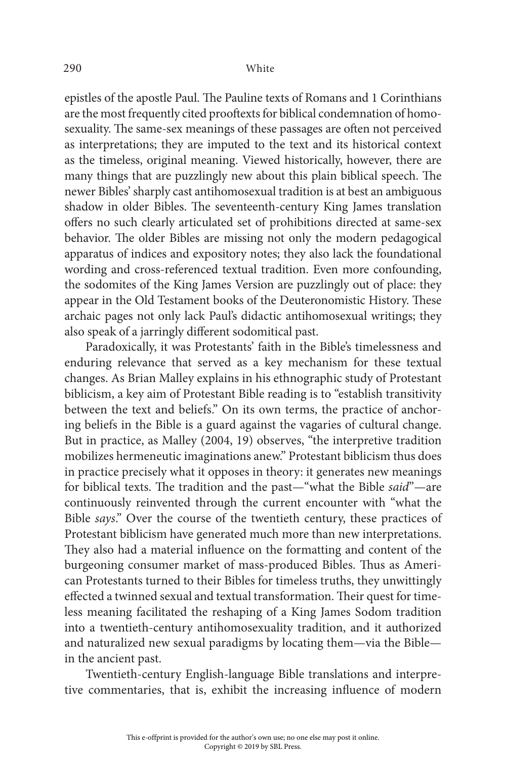#### 290 White

epistles of the apostle Paul. The Pauline texts of Romans and 1 Corinthians are the most frequently cited prooftexts for biblical condemnation of homosexuality. The same-sex meanings of these passages are often not perceived as interpretations; they are imputed to the text and its historical context as the timeless, original meaning. Viewed historically, however, there are many things that are puzzlingly new about this plain biblical speech. The newer Bibles' sharply cast antihomosexual tradition is at best an ambiguous shadow in older Bibles. The seventeenth-century King James translation offers no such clearly articulated set of prohibitions directed at same-sex behavior. The older Bibles are missing not only the modern pedagogical apparatus of indices and expository notes; they also lack the foundational wording and cross-referenced textual tradition. Even more confounding, the sodomites of the King James Version are puzzlingly out of place: they appear in the Old Testament books of the Deuteronomistic History. These archaic pages not only lack Paul's didactic antihomosexual writings; they also speak of a jarringly different sodomitical past.

Paradoxically, it was Protestants' faith in the Bible's timelessness and enduring relevance that served as a key mechanism for these textual changes. As Brian Malley explains in his ethnographic study of Protestant biblicism, a key aim of Protestant Bible reading is to "establish transitivity between the text and beliefs." On its own terms, the practice of anchoring beliefs in the Bible is a guard against the vagaries of cultural change. But in practice, as Malley (2004, 19) observes, "the interpretive tradition mobilizes hermeneutic imaginations anew." Protestant biblicism thus does in practice precisely what it opposes in theory: it generates new meanings for biblical texts. The tradition and the past—"what the Bible *said*"—are continuously reinvented through the current encounter with "what the Bible *says*." Over the course of the twentieth century, these practices of Protestant biblicism have generated much more than new interpretations. They also had a material influence on the formatting and content of the burgeoning consumer market of mass-produced Bibles. Thus as American Protestants turned to their Bibles for timeless truths, they unwittingly effected a twinned sexual and textual transformation. Their quest for timeless meaning facilitated the reshaping of a King James Sodom tradition into a twentieth-century antihomosexuality tradition, and it authorized and naturalized new sexual paradigms by locating them—via the Bible in the ancient past.

Twentieth-century English-language Bible translations and interpretive commentaries, that is, exhibit the increasing influence of modern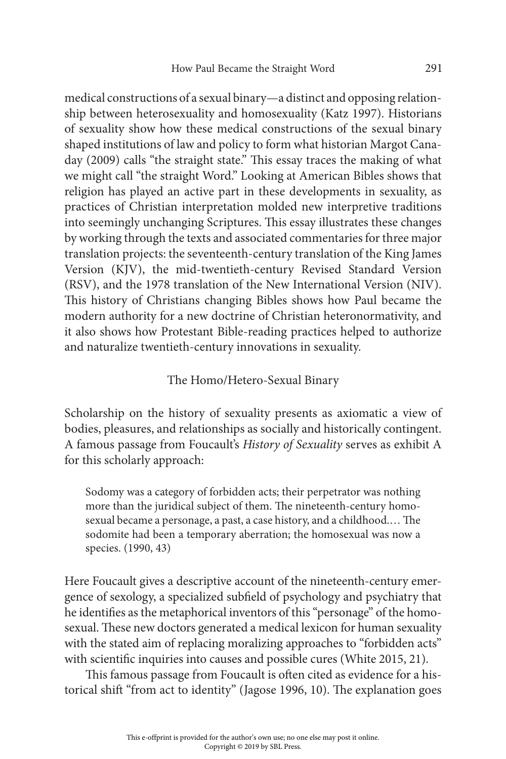medical constructions of a sexual binary—a distinct and opposing relationship between heterosexuality and homosexuality (Katz 1997). Historians of sexuality show how these medical constructions of the sexual binary shaped institutions of law and policy to form what historian Margot Canaday (2009) calls "the straight state." This essay traces the making of what we might call "the straight Word." Looking at American Bibles shows that religion has played an active part in these developments in sexuality, as practices of Christian interpretation molded new interpretive traditions into seemingly unchanging Scriptures. This essay illustrates these changes by working through the texts and associated commentaries for three major translation projects: the seventeenth-century translation of the King James Version (KJV), the mid-twentieth-century Revised Standard Version (RSV), and the 1978 translation of the New International Version (NIV). This history of Christians changing Bibles shows how Paul became the modern authority for a new doctrine of Christian heteronormativity, and it also shows how Protestant Bible-reading practices helped to authorize and naturalize twentieth-century innovations in sexuality.

### The Homo/Hetero-Sexual Binary

Scholarship on the history of sexuality presents as axiomatic a view of bodies, pleasures, and relationships as socially and historically contingent. A famous passage from Foucault's *History of Sexuality* serves as exhibit A for this scholarly approach:

Sodomy was a category of forbidden acts; their perpetrator was nothing more than the juridical subject of them. The nineteenth-century homosexual became a personage, a past, a case history, and a childhood.… The sodomite had been a temporary aberration; the homosexual was now a species. (1990, 43)

Here Foucault gives a descriptive account of the nineteenth-century emergence of sexology, a specialized subfield of psychology and psychiatry that he identifies as the metaphorical inventors of this "personage" of the homosexual. These new doctors generated a medical lexicon for human sexuality with the stated aim of replacing moralizing approaches to "forbidden acts" with scientific inquiries into causes and possible cures (White 2015, 21).

This famous passage from Foucault is often cited as evidence for a historical shift "from act to identity" (Jagose 1996, 10). The explanation goes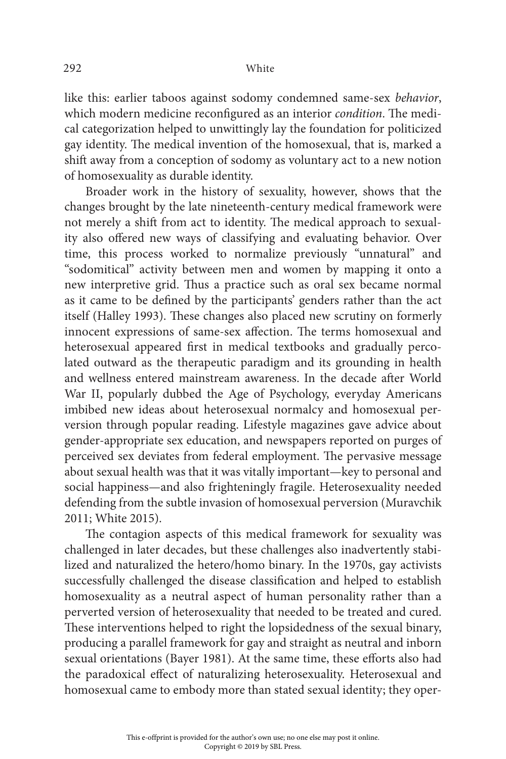#### 292 White

like this: earlier taboos against sodomy condemned same-sex *behavior*, which modern medicine reconfigured as an interior *condition*. The medical categorization helped to unwittingly lay the foundation for politicized gay identity. The medical invention of the homosexual, that is, marked a shift away from a conception of sodomy as voluntary act to a new notion of homosexuality as durable identity.

Broader work in the history of sexuality, however, shows that the changes brought by the late nineteenth-century medical framework were not merely a shift from act to identity. The medical approach to sexuality also offered new ways of classifying and evaluating behavior. Over time, this process worked to normalize previously "unnatural" and "sodomitical" activity between men and women by mapping it onto a new interpretive grid. Thus a practice such as oral sex became normal as it came to be defined by the participants' genders rather than the act itself (Halley 1993). These changes also placed new scrutiny on formerly innocent expressions of same-sex affection. The terms homosexual and heterosexual appeared first in medical textbooks and gradually percolated outward as the therapeutic paradigm and its grounding in health and wellness entered mainstream awareness. In the decade after World War II, popularly dubbed the Age of Psychology, everyday Americans imbibed new ideas about heterosexual normalcy and homosexual perversion through popular reading. Lifestyle magazines gave advice about gender-appropriate sex education, and newspapers reported on purges of perceived sex deviates from federal employment. The pervasive message about sexual health was that it was vitally important—key to personal and social happiness—and also frighteningly fragile. Heterosexuality needed defending from the subtle invasion of homosexual perversion (Muravchik 2011; White 2015).

The contagion aspects of this medical framework for sexuality was challenged in later decades, but these challenges also inadvertently stabilized and naturalized the hetero/homo binary. In the 1970s, gay activists successfully challenged the disease classification and helped to establish homosexuality as a neutral aspect of human personality rather than a perverted version of heterosexuality that needed to be treated and cured. These interventions helped to right the lopsidedness of the sexual binary, producing a parallel framework for gay and straight as neutral and inborn sexual orientations (Bayer 1981). At the same time, these efforts also had the paradoxical effect of naturalizing heterosexuality. Heterosexual and homosexual came to embody more than stated sexual identity; they oper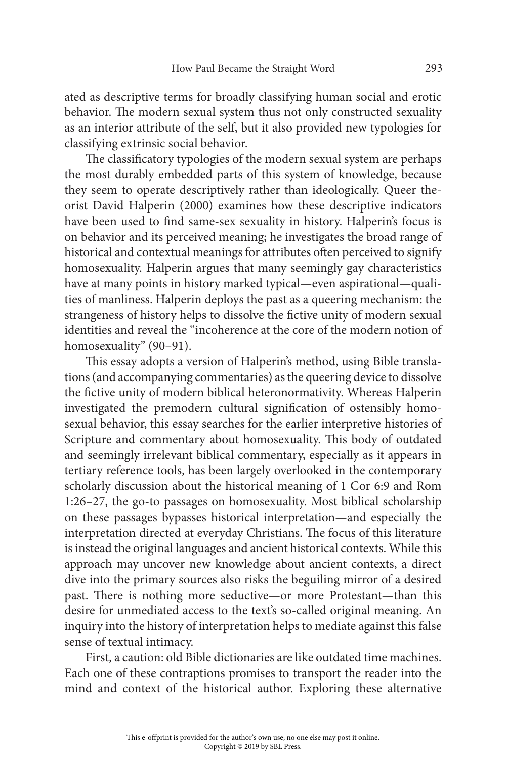ated as descriptive terms for broadly classifying human social and erotic behavior. The modern sexual system thus not only constructed sexuality as an interior attribute of the self, but it also provided new typologies for classifying extrinsic social behavior.

The classificatory typologies of the modern sexual system are perhaps the most durably embedded parts of this system of knowledge, because they seem to operate descriptively rather than ideologically. Queer theorist David Halperin (2000) examines how these descriptive indicators have been used to find same-sex sexuality in history. Halperin's focus is on behavior and its perceived meaning; he investigates the broad range of historical and contextual meanings for attributes often perceived to signify homosexuality. Halperin argues that many seemingly gay characteristics have at many points in history marked typical—even aspirational—qualities of manliness. Halperin deploys the past as a queering mechanism: the strangeness of history helps to dissolve the fictive unity of modern sexual identities and reveal the "incoherence at the core of the modern notion of homosexuality" (90-91).

This essay adopts a version of Halperin's method, using Bible translations (and accompanying commentaries) as the queering device to dissolve the fictive unity of modern biblical heteronormativity. Whereas Halperin investigated the premodern cultural signification of ostensibly homosexual behavior, this essay searches for the earlier interpretive histories of Scripture and commentary about homosexuality. This body of outdated and seemingly irrelevant biblical commentary, especially as it appears in tertiary reference tools, has been largely overlooked in the contemporary scholarly discussion about the historical meaning of 1 Cor 6:9 and Rom 1:26–27, the go-to passages on homosexuality. Most biblical scholarship on these passages bypasses historical interpretation—and especially the interpretation directed at everyday Christians. The focus of this literature is instead the original languages and ancient historical contexts. While this approach may uncover new knowledge about ancient contexts, a direct dive into the primary sources also risks the beguiling mirror of a desired past. There is nothing more seductive—or more Protestant—than this desire for unmediated access to the text's so-called original meaning. An inquiry into the history of interpretation helps to mediate against this false sense of textual intimacy.

First, a caution: old Bible dictionaries are like outdated time machines. Each one of these contraptions promises to transport the reader into the mind and context of the historical author. Exploring these alternative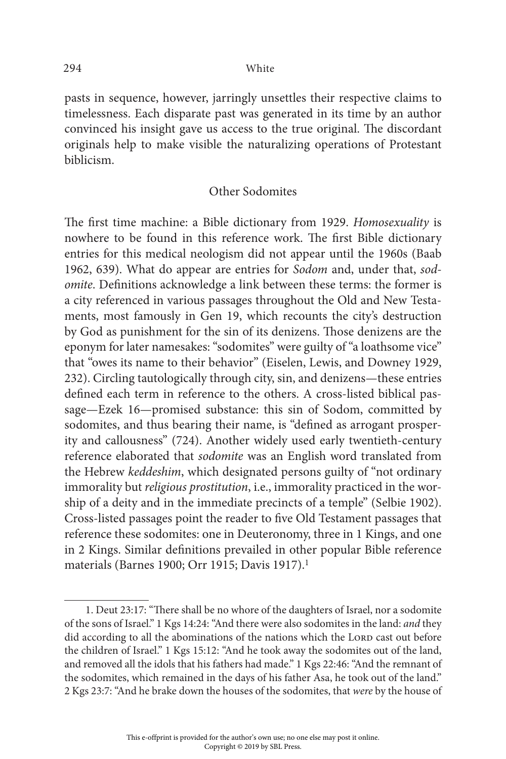pasts in sequence, however, jarringly unsettles their respective claims to timelessness. Each disparate past was generated in its time by an author convinced his insight gave us access to the true original. The discordant originals help to make visible the naturalizing operations of Protestant biblicism.

#### Other Sodomites

The first time machine: a Bible dictionary from 1929. *Homosexuality* is nowhere to be found in this reference work. The first Bible dictionary entries for this medical neologism did not appear until the 1960s (Baab 1962, 639). What do appear are entries for *Sodom* and, under that, *sodomite*. Definitions acknowledge a link between these terms: the former is a city referenced in various passages throughout the Old and New Testaments, most famously in Gen 19, which recounts the city's destruction by God as punishment for the sin of its denizens. Those denizens are the eponym for later namesakes: "sodomites" were guilty of "a loathsome vice" that "owes its name to their behavior" (Eiselen, Lewis, and Downey 1929, 232). Circling tautologically through city, sin, and denizens—these entries defined each term in reference to the others. A cross-listed biblical passage—Ezek 16—promised substance: this sin of Sodom, committed by sodomites, and thus bearing their name, is "defined as arrogant prosperity and callousness" (724). Another widely used early twentieth-century reference elaborated that *sodomite* was an English word translated from the Hebrew *keddeshim*, which designated persons guilty of "not ordinary immorality but *religious prostitution*, i.e., immorality practiced in the worship of a deity and in the immediate precincts of a temple" (Selbie 1902). Cross-listed passages point the reader to five Old Testament passages that reference these sodomites: one in Deuteronomy, three in 1 Kings, and one in 2 Kings. Similar definitions prevailed in other popular Bible reference materials (Barnes 1900; Orr 1915; Davis 1917).1

This e-offprint is provided for the author's own use; no one else may post it online. Copyright © 2019 by SBL Press.

<sup>1.</sup> Deut 23:17: "There shall be no whore of the daughters of Israel, nor a sodomite of the sons of Israel." 1 Kgs 14:24: "And there were also sodomites in the land: *and* they did according to all the abominations of the nations which the LORD cast out before the children of Israel." 1 Kgs 15:12: "And he took away the sodomites out of the land, and removed all the idols that his fathers had made." 1 Kgs 22:46: "And the remnant of the sodomites, which remained in the days of his father Asa, he took out of the land." 2 Kgs 23:7: "And he brake down the houses of the sodomites, that *were* by the house of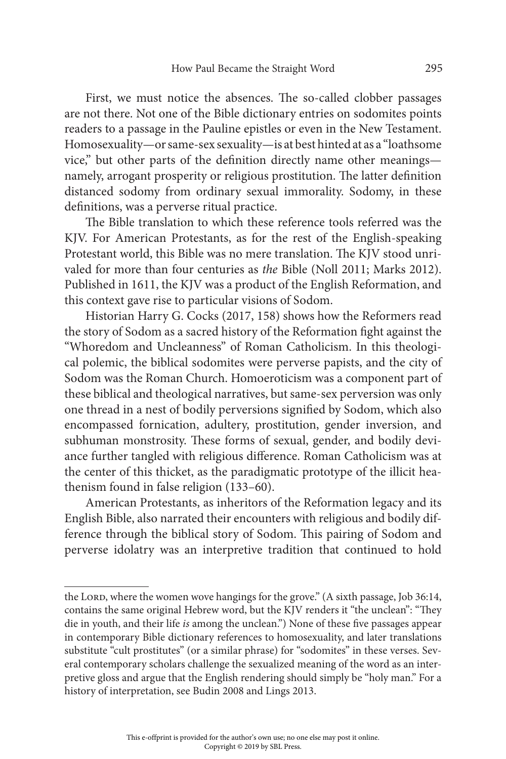First, we must notice the absences. The so-called clobber passages are not there. Not one of the Bible dictionary entries on sodomites points readers to a passage in the Pauline epistles or even in the New Testament. Homosexuality—or same-sex sexuality—is at best hinted at as a "loathsome vice," but other parts of the definition directly name other meanings namely, arrogant prosperity or religious prostitution. The latter definition distanced sodomy from ordinary sexual immorality. Sodomy, in these definitions, was a perverse ritual practice.

The Bible translation to which these reference tools referred was the KJV. For American Protestants, as for the rest of the English-speaking Protestant world, this Bible was no mere translation. The KJV stood unrivaled for more than four centuries as *the* Bible (Noll 2011; Marks 2012). Published in 1611, the KJV was a product of the English Reformation, and this context gave rise to particular visions of Sodom.

Historian Harry G. Cocks (2017, 158) shows how the Reformers read the story of Sodom as a sacred history of the Reformation fight against the "Whoredom and Uncleanness" of Roman Catholicism. In this theological polemic, the biblical sodomites were perverse papists, and the city of Sodom was the Roman Church. Homoeroticism was a component part of these biblical and theological narratives, but same-sex perversion was only one thread in a nest of bodily perversions signified by Sodom, which also encompassed fornication, adultery, prostitution, gender inversion, and subhuman monstrosity. These forms of sexual, gender, and bodily deviance further tangled with religious difference. Roman Catholicism was at the center of this thicket, as the paradigmatic prototype of the illicit heathenism found in false religion (133–60).

American Protestants, as inheritors of the Reformation legacy and its English Bible, also narrated their encounters with religious and bodily difference through the biblical story of Sodom. This pairing of Sodom and perverse idolatry was an interpretive tradition that continued to hold

the Lord, where the women wove hangings for the grove." (A sixth passage, Job 36:14, contains the same original Hebrew word, but the KJV renders it "the unclean": "They die in youth, and their life *is* among the unclean.") None of these five passages appear in contemporary Bible dictionary references to homosexuality, and later translations substitute "cult prostitutes" (or a similar phrase) for "sodomites" in these verses. Several contemporary scholars challenge the sexualized meaning of the word as an interpretive gloss and argue that the English rendering should simply be "holy man." For a history of interpretation, see Budin 2008 and Lings 2013.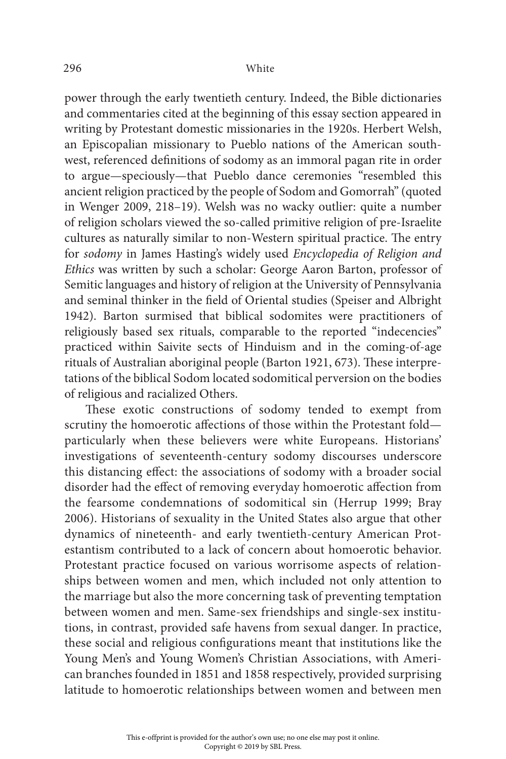power through the early twentieth century. Indeed, the Bible dictionaries and commentaries cited at the beginning of this essay section appeared in writing by Protestant domestic missionaries in the 1920s. Herbert Welsh, an Episcopalian missionary to Pueblo nations of the American southwest, referenced definitions of sodomy as an immoral pagan rite in order to argue—speciously—that Pueblo dance ceremonies "resembled this ancient religion practiced by the people of Sodom and Gomorrah" (quoted in Wenger 2009, 218–19). Welsh was no wacky outlier: quite a number of religion scholars viewed the so-called primitive religion of pre-Israelite cultures as naturally similar to non-Western spiritual practice. The entry for *sodomy* in James Hasting's widely used *Encyclopedia of Religion and Ethics* was written by such a scholar: George Aaron Barton, professor of Semitic languages and history of religion at the University of Pennsylvania and seminal thinker in the field of Oriental studies (Speiser and Albright 1942). Barton surmised that biblical sodomites were practitioners of religiously based sex rituals, comparable to the reported "indecencies" practiced within Saivite sects of Hinduism and in the coming-of-age rituals of Australian aboriginal people (Barton 1921, 673). These interpretations of the biblical Sodom located sodomitical perversion on the bodies of religious and racialized Others.

These exotic constructions of sodomy tended to exempt from scrutiny the homoerotic affections of those within the Protestant fold particularly when these believers were white Europeans. Historians' investigations of seventeenth-century sodomy discourses underscore this distancing effect: the associations of sodomy with a broader social disorder had the effect of removing everyday homoerotic affection from the fearsome condemnations of sodomitical sin (Herrup 1999; Bray 2006). Historians of sexuality in the United States also argue that other dynamics of nineteenth- and early twentieth-century American Protestantism contributed to a lack of concern about homoerotic behavior. Protestant practice focused on various worrisome aspects of relationships between women and men, which included not only attention to the marriage but also the more concerning task of preventing temptation between women and men. Same-sex friendships and single-sex institutions, in contrast, provided safe havens from sexual danger. In practice, these social and religious configurations meant that institutions like the Young Men's and Young Women's Christian Associations, with American branches founded in 1851 and 1858 respectively, provided surprising latitude to homoerotic relationships between women and between men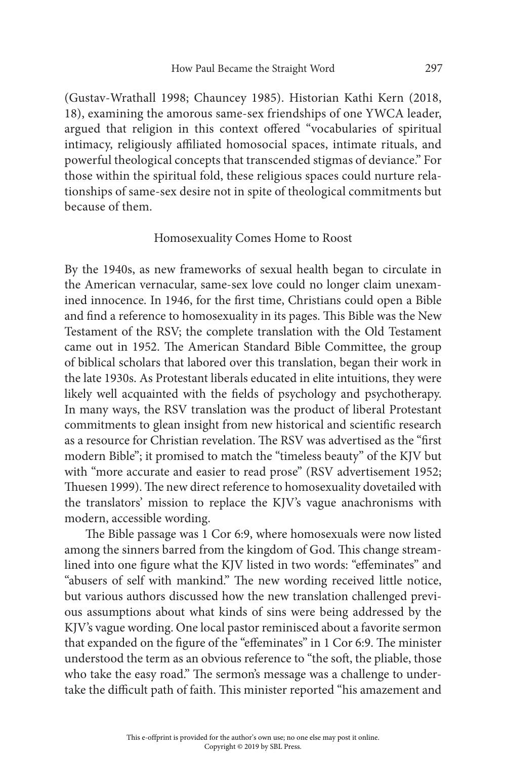(Gustav-Wrathall 1998; Chauncey 1985). Historian Kathi Kern (2018, 18), examining the amorous same-sex friendships of one YWCA leader, argued that religion in this context offered "vocabularies of spiritual intimacy, religiously affiliated homosocial spaces, intimate rituals, and powerful theological concepts that transcended stigmas of deviance." For those within the spiritual fold, these religious spaces could nurture relationships of same-sex desire not in spite of theological commitments but because of them.

#### Homosexuality Comes Home to Roost

By the 1940s, as new frameworks of sexual health began to circulate in the American vernacular, same-sex love could no longer claim unexamined innocence. In 1946, for the first time, Christians could open a Bible and find a reference to homosexuality in its pages. This Bible was the New Testament of the RSV; the complete translation with the Old Testament came out in 1952. The American Standard Bible Committee, the group of biblical scholars that labored over this translation, began their work in the late 1930s. As Protestant liberals educated in elite intuitions, they were likely well acquainted with the fields of psychology and psychotherapy. In many ways, the RSV translation was the product of liberal Protestant commitments to glean insight from new historical and scientific research as a resource for Christian revelation. The RSV was advertised as the "first modern Bible"; it promised to match the "timeless beauty" of the KJV but with "more accurate and easier to read prose" (RSV advertisement 1952; Thuesen 1999). The new direct reference to homosexuality dovetailed with the translators' mission to replace the KJV's vague anachronisms with modern, accessible wording.

The Bible passage was 1 Cor 6:9, where homosexuals were now listed among the sinners barred from the kingdom of God. This change streamlined into one figure what the KJV listed in two words: "effeminates" and "abusers of self with mankind." The new wording received little notice, but various authors discussed how the new translation challenged previous assumptions about what kinds of sins were being addressed by the KJV's vague wording. One local pastor reminisced about a favorite sermon that expanded on the figure of the "effeminates" in 1 Cor 6:9. The minister understood the term as an obvious reference to "the soft, the pliable, those who take the easy road." The sermon's message was a challenge to undertake the difficult path of faith. This minister reported "his amazement and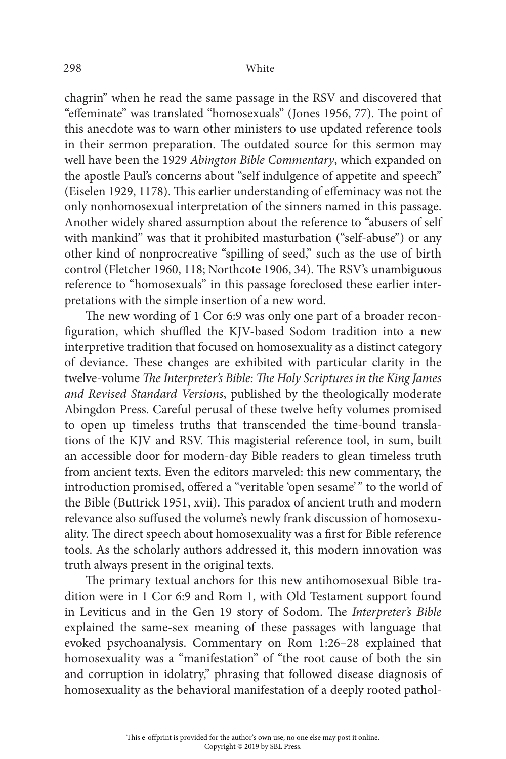chagrin" when he read the same passage in the RSV and discovered that "effeminate" was translated "homosexuals" (Jones 1956, 77). The point of this anecdote was to warn other ministers to use updated reference tools in their sermon preparation. The outdated source for this sermon may well have been the 1929 *Abington Bible Commentary*, which expanded on the apostle Paul's concerns about "self indulgence of appetite and speech" (Eiselen 1929, 1178). This earlier understanding of effeminacy was not the only nonhomosexual interpretation of the sinners named in this passage. Another widely shared assumption about the reference to "abusers of self with mankind" was that it prohibited masturbation ("self-abuse") or any other kind of nonprocreative "spilling of seed," such as the use of birth control (Fletcher 1960, 118; Northcote 1906, 34). The RSV's unambiguous reference to "homosexuals" in this passage foreclosed these earlier interpretations with the simple insertion of a new word.

The new wording of 1 Cor 6:9 was only one part of a broader reconfiguration, which shuffled the KJV-based Sodom tradition into a new interpretive tradition that focused on homosexuality as a distinct category of deviance. These changes are exhibited with particular clarity in the twelve-volume *The Interpreter's Bible: The Holy Scriptures in the King James and Revised Standard Versions*, published by the theologically moderate Abingdon Press. Careful perusal of these twelve hefty volumes promised to open up timeless truths that transcended the time-bound translations of the KJV and RSV. This magisterial reference tool, in sum, built an accessible door for modern-day Bible readers to glean timeless truth from ancient texts. Even the editors marveled: this new commentary, the introduction promised, offered a "veritable 'open sesame' " to the world of the Bible (Buttrick 1951, xvii). This paradox of ancient truth and modern relevance also suffused the volume's newly frank discussion of homosexuality. The direct speech about homosexuality was a first for Bible reference tools. As the scholarly authors addressed it, this modern innovation was truth always present in the original texts.

The primary textual anchors for this new antihomosexual Bible tradition were in 1 Cor 6:9 and Rom 1, with Old Testament support found in Leviticus and in the Gen 19 story of Sodom. The *Interpreter's Bible*  explained the same-sex meaning of these passages with language that evoked psychoanalysis. Commentary on Rom 1:26–28 explained that homosexuality was a "manifestation" of "the root cause of both the sin and corruption in idolatry," phrasing that followed disease diagnosis of homosexuality as the behavioral manifestation of a deeply rooted pathol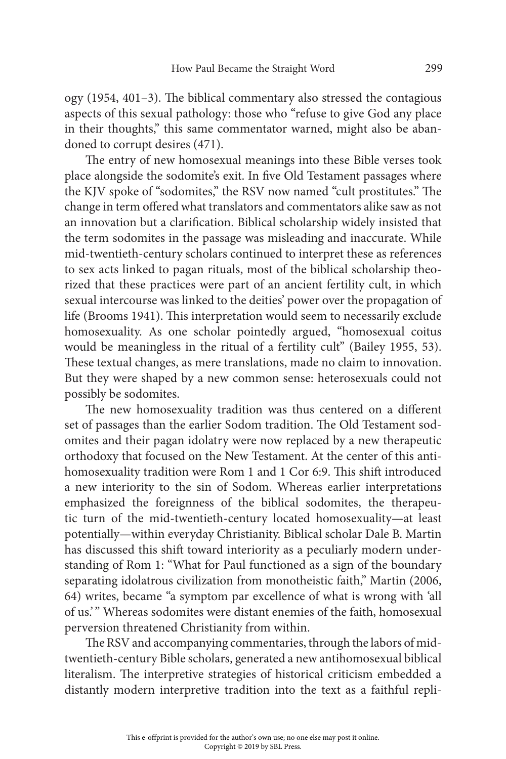ogy (1954, 401–3). The biblical commentary also stressed the contagious aspects of this sexual pathology: those who "refuse to give God any place in their thoughts," this same commentator warned, might also be abandoned to corrupt desires (471).

The entry of new homosexual meanings into these Bible verses took place alongside the sodomite's exit. In five Old Testament passages where the KJV spoke of "sodomites," the RSV now named "cult prostitutes." The change in term offered what translators and commentators alike saw as not an innovation but a clarification. Biblical scholarship widely insisted that the term sodomites in the passage was misleading and inaccurate. While mid-twentieth-century scholars continued to interpret these as references to sex acts linked to pagan rituals, most of the biblical scholarship theorized that these practices were part of an ancient fertility cult, in which sexual intercourse was linked to the deities' power over the propagation of life (Brooms 1941). This interpretation would seem to necessarily exclude homosexuality. As one scholar pointedly argued, "homosexual coitus would be meaningless in the ritual of a fertility cult" (Bailey 1955, 53). These textual changes, as mere translations, made no claim to innovation. But they were shaped by a new common sense: heterosexuals could not possibly be sodomites.

The new homosexuality tradition was thus centered on a different set of passages than the earlier Sodom tradition. The Old Testament sodomites and their pagan idolatry were now replaced by a new therapeutic orthodoxy that focused on the New Testament. At the center of this antihomosexuality tradition were Rom 1 and 1 Cor 6:9. This shift introduced a new interiority to the sin of Sodom. Whereas earlier interpretations emphasized the foreignness of the biblical sodomites, the therapeutic turn of the mid-twentieth-century located homosexuality—at least potentially—within everyday Christianity. Biblical scholar Dale B. Martin has discussed this shift toward interiority as a peculiarly modern understanding of Rom 1: "What for Paul functioned as a sign of the boundary separating idolatrous civilization from monotheistic faith," Martin (2006, 64) writes, became "a symptom par excellence of what is wrong with 'all of us.' " Whereas sodomites were distant enemies of the faith, homosexual perversion threatened Christianity from within.

The RSV and accompanying commentaries, through the labors of midtwentieth-century Bible scholars, generated a new antihomosexual biblical literalism. The interpretive strategies of historical criticism embedded a distantly modern interpretive tradition into the text as a faithful repli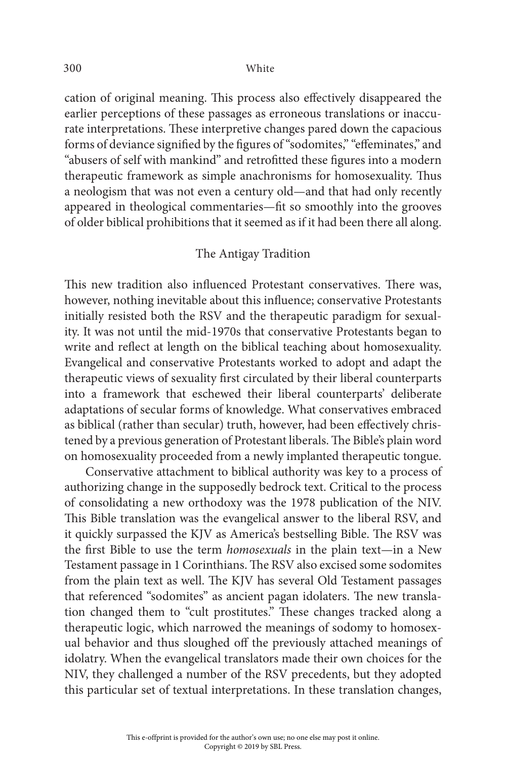cation of original meaning. This process also effectively disappeared the earlier perceptions of these passages as erroneous translations or inaccurate interpretations. These interpretive changes pared down the capacious forms of deviance signified by the figures of "sodomites," "effeminates," and "abusers of self with mankind" and retrofitted these figures into a modern therapeutic framework as simple anachronisms for homosexuality. Thus a neologism that was not even a century old—and that had only recently appeared in theological commentaries—fit so smoothly into the grooves of older biblical prohibitions that it seemed as if it had been there all along.

#### The Antigay Tradition

This new tradition also influenced Protestant conservatives. There was, however, nothing inevitable about this influence; conservative Protestants initially resisted both the RSV and the therapeutic paradigm for sexuality. It was not until the mid-1970s that conservative Protestants began to write and reflect at length on the biblical teaching about homosexuality. Evangelical and conservative Protestants worked to adopt and adapt the therapeutic views of sexuality first circulated by their liberal counterparts into a framework that eschewed their liberal counterparts' deliberate adaptations of secular forms of knowledge. What conservatives embraced as biblical (rather than secular) truth, however, had been effectively christened by a previous generation of Protestant liberals. The Bible's plain word on homosexuality proceeded from a newly implanted therapeutic tongue.

Conservative attachment to biblical authority was key to a process of authorizing change in the supposedly bedrock text. Critical to the process of consolidating a new orthodoxy was the 1978 publication of the NIV. This Bible translation was the evangelical answer to the liberal RSV, and it quickly surpassed the KJV as America's bestselling Bible. The RSV was the first Bible to use the term *homosexuals* in the plain text—in a New Testament passage in 1 Corinthians. The RSV also excised some sodomites from the plain text as well. The KJV has several Old Testament passages that referenced "sodomites" as ancient pagan idolaters. The new translation changed them to "cult prostitutes." These changes tracked along a therapeutic logic, which narrowed the meanings of sodomy to homosexual behavior and thus sloughed off the previously attached meanings of idolatry. When the evangelical translators made their own choices for the NIV, they challenged a number of the RSV precedents, but they adopted this particular set of textual interpretations. In these translation changes,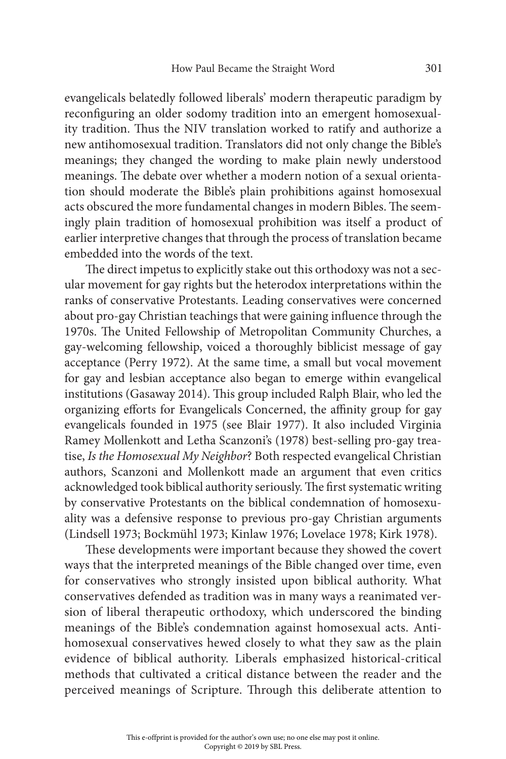evangelicals belatedly followed liberals' modern therapeutic paradigm by reconfiguring an older sodomy tradition into an emergent homosexuality tradition. Thus the NIV translation worked to ratify and authorize a new antihomosexual tradition. Translators did not only change the Bible's meanings; they changed the wording to make plain newly understood meanings. The debate over whether a modern notion of a sexual orientation should moderate the Bible's plain prohibitions against homosexual acts obscured the more fundamental changes in modern Bibles. The seemingly plain tradition of homosexual prohibition was itself a product of earlier interpretive changes that through the process of translation became embedded into the words of the text.

The direct impetus to explicitly stake out this orthodoxy was not a secular movement for gay rights but the heterodox interpretations within the ranks of conservative Protestants. Leading conservatives were concerned about pro-gay Christian teachings that were gaining influence through the 1970s. The United Fellowship of Metropolitan Community Churches, a gay-welcoming fellowship, voiced a thoroughly biblicist message of gay acceptance (Perry 1972). At the same time, a small but vocal movement for gay and lesbian acceptance also began to emerge within evangelical institutions (Gasaway 2014). This group included Ralph Blair, who led the organizing efforts for Evangelicals Concerned, the affinity group for gay evangelicals founded in 1975 (see Blair 1977). It also included Virginia Ramey Mollenkott and Letha Scanzoni's (1978) best-selling pro-gay treatise, *Is the Homosexual My Neighbor*? Both respected evangelical Christian authors, Scanzoni and Mollenkott made an argument that even critics acknowledged took biblical authority seriously. The first systematic writing by conservative Protestants on the biblical condemnation of homosexuality was a defensive response to previous pro-gay Christian arguments (Lindsell 1973; Bockmühl 1973; Kinlaw 1976; Lovelace 1978; Kirk 1978).

These developments were important because they showed the covert ways that the interpreted meanings of the Bible changed over time, even for conservatives who strongly insisted upon biblical authority. What conservatives defended as tradition was in many ways a reanimated version of liberal therapeutic orthodoxy, which underscored the binding meanings of the Bible's condemnation against homosexual acts. Antihomosexual conservatives hewed closely to what they saw as the plain evidence of biblical authority. Liberals emphasized historical-critical methods that cultivated a critical distance between the reader and the perceived meanings of Scripture. Through this deliberate attention to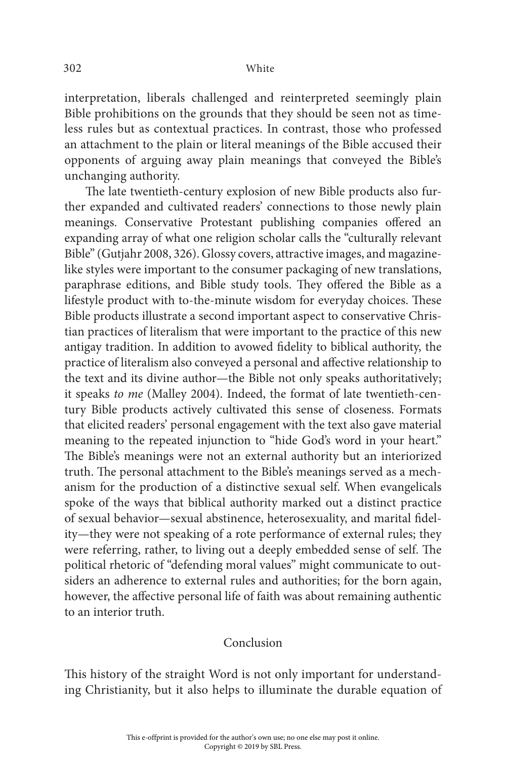interpretation, liberals challenged and reinterpreted seemingly plain Bible prohibitions on the grounds that they should be seen not as timeless rules but as contextual practices. In contrast, those who professed an attachment to the plain or literal meanings of the Bible accused their opponents of arguing away plain meanings that conveyed the Bible's unchanging authority.

The late twentieth-century explosion of new Bible products also further expanded and cultivated readers' connections to those newly plain meanings. Conservative Protestant publishing companies offered an expanding array of what one religion scholar calls the "culturally relevant Bible" (Gutjahr 2008, 326). Glossy covers, attractive images, and magazinelike styles were important to the consumer packaging of new translations, paraphrase editions, and Bible study tools. They offered the Bible as a lifestyle product with to-the-minute wisdom for everyday choices. These Bible products illustrate a second important aspect to conservative Christian practices of literalism that were important to the practice of this new antigay tradition. In addition to avowed fidelity to biblical authority, the practice of literalism also conveyed a personal and affective relationship to the text and its divine author—the Bible not only speaks authoritatively; it speaks *to me* (Malley 2004). Indeed, the format of late twentieth-century Bible products actively cultivated this sense of closeness. Formats that elicited readers' personal engagement with the text also gave material meaning to the repeated injunction to "hide God's word in your heart." The Bible's meanings were not an external authority but an interiorized truth. The personal attachment to the Bible's meanings served as a mechanism for the production of a distinctive sexual self. When evangelicals spoke of the ways that biblical authority marked out a distinct practice of sexual behavior—sexual abstinence, heterosexuality, and marital fidelity—they were not speaking of a rote performance of external rules; they were referring, rather, to living out a deeply embedded sense of self. The political rhetoric of "defending moral values" might communicate to outsiders an adherence to external rules and authorities; for the born again, however, the affective personal life of faith was about remaining authentic to an interior truth.

#### Conclusion

This history of the straight Word is not only important for understanding Christianity, but it also helps to illuminate the durable equation of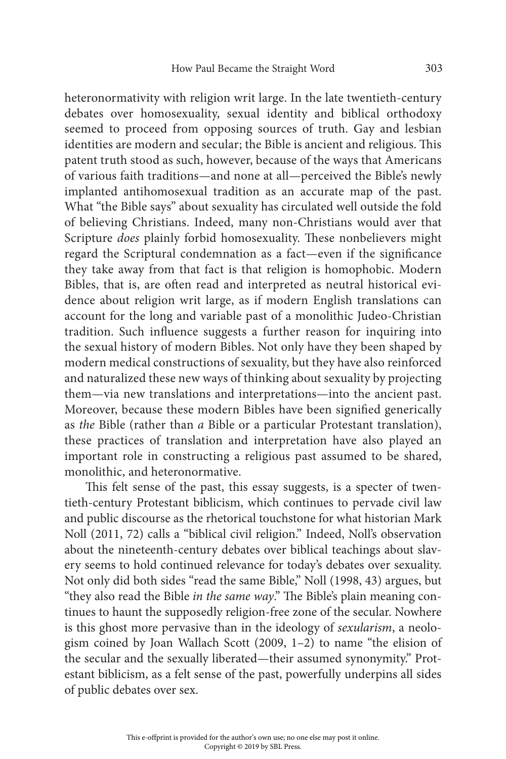heteronormativity with religion writ large. In the late twentieth-century debates over homosexuality, sexual identity and biblical orthodoxy seemed to proceed from opposing sources of truth. Gay and lesbian identities are modern and secular; the Bible is ancient and religious. This patent truth stood as such, however, because of the ways that Americans of various faith traditions—and none at all—perceived the Bible's newly implanted antihomosexual tradition as an accurate map of the past. What "the Bible says" about sexuality has circulated well outside the fold of believing Christians. Indeed, many non-Christians would aver that Scripture *does* plainly forbid homosexuality. These nonbelievers might regard the Scriptural condemnation as a fact—even if the significance they take away from that fact is that religion is homophobic. Modern Bibles, that is, are often read and interpreted as neutral historical evidence about religion writ large, as if modern English translations can account for the long and variable past of a monolithic Judeo-Christian tradition. Such influence suggests a further reason for inquiring into the sexual history of modern Bibles. Not only have they been shaped by modern medical constructions of sexuality, but they have also reinforced and naturalized these new ways of thinking about sexuality by projecting them—via new translations and interpretations—into the ancient past. Moreover, because these modern Bibles have been signified generically as *the* Bible (rather than *a* Bible or a particular Protestant translation), these practices of translation and interpretation have also played an important role in constructing a religious past assumed to be shared, monolithic, and heteronormative.

This felt sense of the past, this essay suggests, is a specter of twentieth-century Protestant biblicism, which continues to pervade civil law and public discourse as the rhetorical touchstone for what historian Mark Noll (2011, 72) calls a "biblical civil religion." Indeed, Noll's observation about the nineteenth-century debates over biblical teachings about slavery seems to hold continued relevance for today's debates over sexuality. Not only did both sides "read the same Bible," Noll (1998, 43) argues, but "they also read the Bible *in the same way*." The Bible's plain meaning continues to haunt the supposedly religion-free zone of the secular. Nowhere is this ghost more pervasive than in the ideology of *sexularism*, a neologism coined by Joan Wallach Scott (2009, 1–2) to name "the elision of the secular and the sexually liberated—their assumed synonymity." Protestant biblicism, as a felt sense of the past, powerfully underpins all sides of public debates over sex.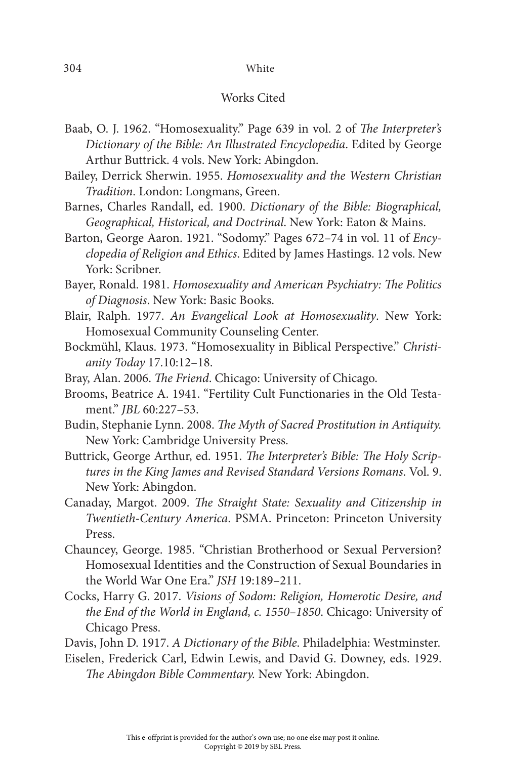## 304 White

#### Works Cited

- Baab, O. J. 1962. "Homosexuality." Page 639 in vol. 2 of *The Interpreter's Dictionary of the Bible: An Illustrated Encyclopedia*. Edited by George Arthur Buttrick. 4 vols. New York: Abingdon.
- Bailey, Derrick Sherwin. 1955. *Homosexuality and the Western Christian Tradition*. London: Longmans, Green.
- Barnes, Charles Randall, ed. 1900. *Dictionary of the Bible: Biographical, Geographical, Historical, and Doctrinal*. New York: Eaton & Mains.
- Barton, George Aaron. 1921. "Sodomy." Pages 672–74 in vol. 11 of *Encyclopedia of Religion and Ethics*. Edited by James Hastings. 12 vols. New York: Scribner.
- Bayer, Ronald. 1981. *Homosexuality and American Psychiatry: The Politics of Diagnosis*. New York: Basic Books.
- Blair, Ralph. 1977. *An Evangelical Look at Homosexuality*. New York: Homosexual Community Counseling Center.
- Bockmühl, Klaus. 1973. "Homosexuality in Biblical Perspective." *Christianity Today* 17.10:12–18.
- Bray, Alan. 2006. *The Friend*. Chicago: University of Chicago.
- Brooms, Beatrice A. 1941. "Fertility Cult Functionaries in the Old Testament." *JBL* 60:227–53.
- Budin, Stephanie Lynn. 2008. *The Myth of Sacred Prostitution in Antiquity.*  New York: Cambridge University Press.
- Buttrick, George Arthur, ed. 1951. *The Interpreter's Bible: The Holy Scriptures in the King James and Revised Standard Versions Romans*. Vol. 9. New York: Abingdon.
- Canaday, Margot. 2009. *The Straight State: Sexuality and Citizenship in Twentieth-Century America*. PSMA . Princeton: Princeton University Press.
- Chauncey, George. 1985. "Christian Brotherhood or Sexual Perversion? Homosexual Identities and the Construction of Sexual Boundaries in the World War One Era." *JSH* 19:189–211.
- Cocks, Harry G. 2017. *Visions of Sodom: Religion, Homerotic Desire, and the End of the World in England, c. 1550–1850*. Chicago: University of Chicago Press.

Davis, John D. 1917. *A Dictionary of the Bible*. Philadelphia: Westminster.

Eiselen, Frederick Carl, Edwin Lewis, and David G. Downey, eds. 1929. *The Abingdon Bible Commentary.* New York: Abingdon.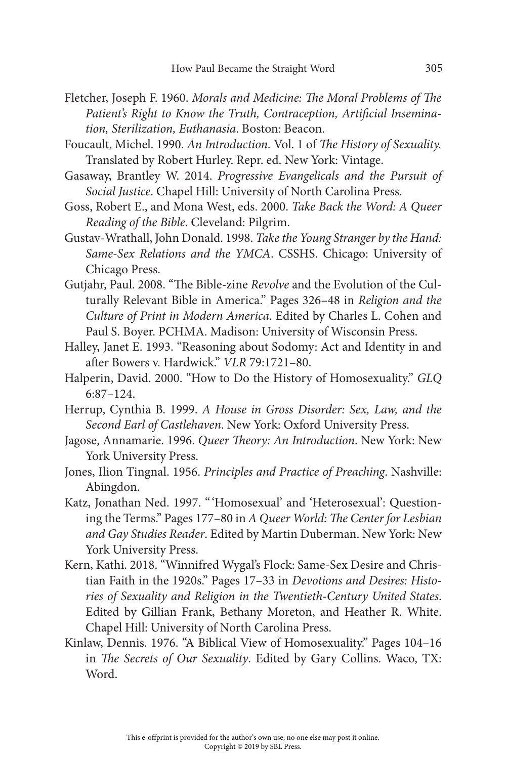- Fletcher, Joseph F. 1960. *Morals and Medicine: The Moral Problems of The Patient's Right to Know the Truth, Contraception, Artificial Insemination, Sterilization, Euthanasia*. Boston: Beacon.
- Foucault, Michel. 1990. *An Introduction.* Vol. 1 of *The History of Sexuality.*  Translated by Robert Hurley. Repr. ed. New York: Vintage.
- Gasaway, Brantley W. 2014. *Progressive Evangelicals and the Pursuit of Social Justice*. Chapel Hill: University of North Carolina Press.
- Goss, Robert E., and Mona West, eds. 2000. *Take Back the Word: A Queer Reading of the Bible*. Cleveland: Pilgrim.
- Gustav-Wrathall, John Donald. 1998. *Take the Young Stranger by the Hand:*  Same-Sex Relations and the YMCA. CSSHS. Chicago: University of Chicago Press.
- Gutjahr, Paul. 2008. "The Bible-zine *Revolve* and the Evolution of the Culturally Relevant Bible in America." Pages 326–48 in *Religion and the Culture of Print in Modern America*. Edited by Charles L. Cohen and Paul S. Boyer. PCHMA. Madison: University of Wisconsin Press.
- Halley, Janet E. 1993. "Reasoning about Sodomy: Act and Identity in and after Bowers v. Hardwick." *VLR* 79:1721–80.
- Halperin, David. 2000. "How to Do the History of Homosexuality." *GLQ* 6:87–124.
- Herrup, Cynthia B. 1999. *A House in Gross Disorder: Sex, Law, and the Second Earl of Castlehaven*. New York: Oxford University Press.
- Jagose, Annamarie. 1996. *Queer Theory: An Introduction*. New York: New York University Press.
- Jones, Ilion Tingnal. 1956. *Principles and Practice of Preaching*. Nashville: Abingdon.
- Katz, Jonathan Ned. 1997. " 'Homosexual' and 'Heterosexual': Questioning the Terms." Pages 177–80 in *A Queer World: The Center for Lesbian and Gay Studies Reader*. Edited by Martin Duberman. New York: New York University Press.
- Kern, Kathi. 2018. "Winnifred Wygal's Flock: Same-Sex Desire and Christian Faith in the 1920s." Pages 17–33 in *Devotions and Desires: Histories of Sexuality and Religion in the Twentieth-Century United States*. Edited by Gillian Frank, Bethany Moreton, and Heather R. White. Chapel Hill: University of North Carolina Press.
- Kinlaw, Dennis. 1976. "A Biblical View of Homosexuality." Pages 104–16 in *The Secrets of Our Sexuality*. Edited by Gary Collins. Waco, TX: Word.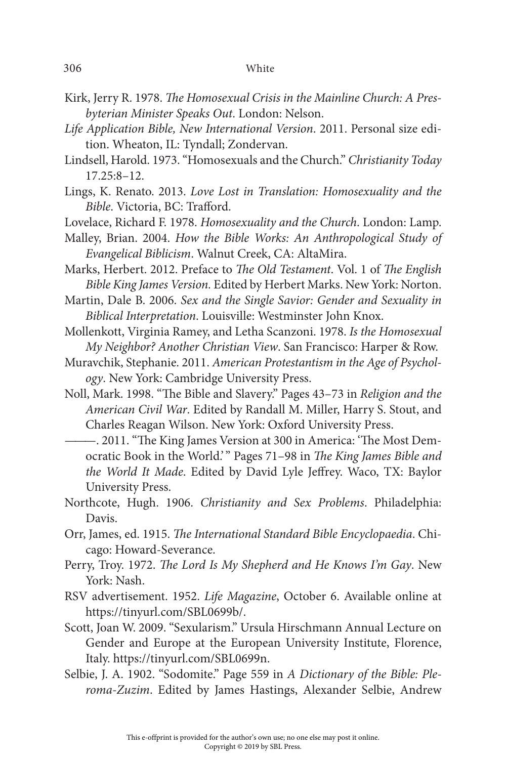- Kirk, Jerry R. 1978. *The Homosexual Crisis in the Mainline Church: A Presbyterian Minister Speaks Out*. London: Nelson.
- *Life Application Bible, New International Version*. 2011. Personal size edition. Wheaton, IL: Tyndall; Zondervan.
- Lindsell, Harold. 1973. "Homosexuals and the Church." *Christianity Today* 17.25:8–12.
- Lings, K. Renato. 2013. *Love Lost in Translation: Homosexuality and the Bible*. Victoria, BC: Trafford.
- Lovelace, Richard F. 1978. *Homosexuality and the Church*. London: Lamp.
- Malley, Brian. 2004. *How the Bible Works: An Anthropological Study of Evangelical Biblicism*. Walnut Creek, CA: AltaMira.
- Marks, Herbert. 2012. Preface to *The Old Testament*. Vol. 1 of *The English Bible King James Version.* Edited by Herbert Marks. New York: Norton.
- Martin, Dale B. 2006. *Sex and the Single Savior: Gender and Sexuality in Biblical Interpretation*. Louisville: Westminster John Knox.
- Mollenkott, Virginia Ramey, and Letha Scanzoni. 1978. *Is the Homosexual My Neighbor? Another Christian View*. San Francisco: Harper & Row.
- Muravchik, Stephanie. 2011. *American Protestantism in the Age of Psychology*. New York: Cambridge University Press.
- Noll, Mark. 1998. "The Bible and Slavery." Pages 43–73 in *Religion and the American Civil War*. Edited by Randall M. Miller, Harry S. Stout, and Charles Reagan Wilson. New York: Oxford University Press.
	- ———. 2011. "The King James Version at 300 in America: 'The Most Democratic Book in the World.' " Pages 71–98 in *The King James Bible and the World It Made*. Edited by David Lyle Jeffrey. Waco, TX: Baylor University Press.
- Northcote, Hugh. 1906. *Christianity and Sex Problems*. Philadelphia: Davis.
- Orr, James, ed. 1915. *The International Standard Bible Encyclopaedia*. Chicago: Howard-Severance.
- Perry, Troy. 1972. *The Lord Is My Shepherd and He Knows I'm Gay*. New York: Nash.
- RSV advertisement. 1952. *Life Magazine*, October 6. Available online at https://tinyurl.com/SBL0699b/.
- Scott, Joan W. 2009. "Sexularism." Ursula Hirschmann Annual Lecture on Gender and Europe at the European University Institute, Florence, Italy. https://tinyurl.com/SBL0699n.
- Selbie, J. A. 1902. "Sodomite." Page 559 in *A Dictionary of the Bible: Pleroma-Zuzim*. Edited by James Hastings, Alexander Selbie, Andrew